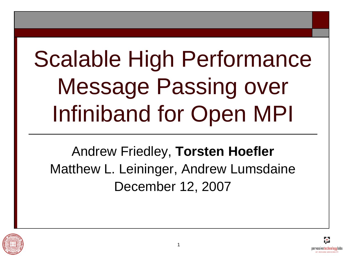# Scalable High Performance Message Passing over Infiniband for Open MPI

Andrew Friedley, **Torsten Hoefler** Matthew L. Leininger, Andrew Lumsdaine December 12, 2007



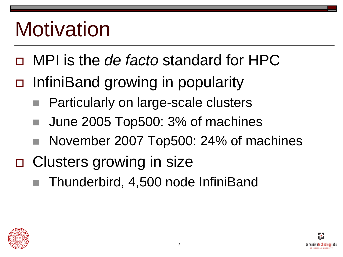### **Motivation**

- MPI is the *de facto* standard for HPC
- InfiniBand growing in popularity
	- Particularly on large-scale clusters
	- June 2005 Top500: 3% of machines
	- November 2007 Top500: 24% of machines
- □ Clusters growing in size
	- Thunderbird, 4,500 node InfiniBand

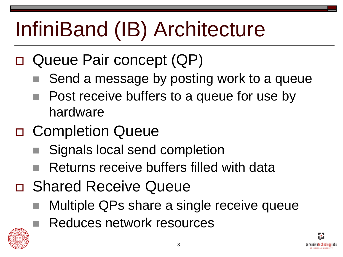# InfiniBand (IB) Architecture

- □ Queue Pair concept (QP)
	- Send a message by posting work to a queue
	- Post receive buffers to a queue for use by hardware
- □ Completion Queue
	- Signals local send completion
	- Returns receive buffers filled with data
- □ Shared Receive Queue
	- Multiple QPs share a single receive queue
		- Reduces network resources



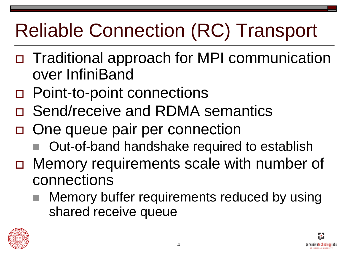#### Reliable Connection (RC) Transport

- Traditional approach for MPI communication over InfiniBand
- □ Point-to-point connections
- □ Send/receive and RDMA semantics
- □ One queue pair per connection
	- Out-of-band handshake required to establish
- Memory requirements scale with number of connections
	- Memory buffer requirements reduced by using shared receive queue



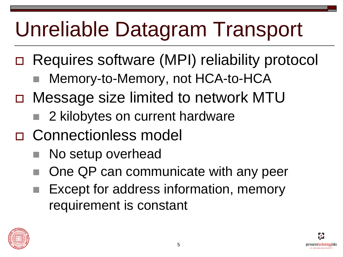# Unreliable Datagram Transport

- Requires software (MPI) reliability protocol
	- Memory-to-Memory, not HCA-to-HCA
- Message size limited to network MTU
	- 2 kilobytes on current hardware
- □ Connectionless model
	- No setup overhead
	- One QP can communicate with any peer
	- Except for address information, memory requirement is constant



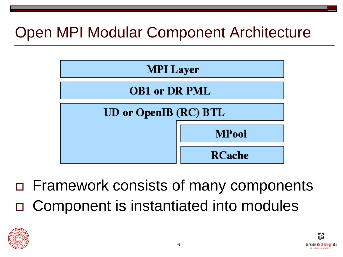#### Open MPI Modular Component Architecture



 Framework consists of many components Component is instantiated into modules



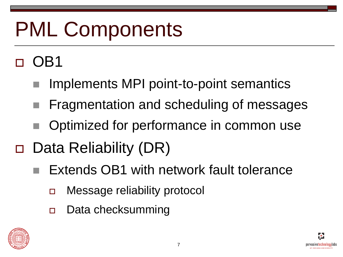# PML Components

#### $\Box$  OB1

- Implements MPI point-to-point semantics
- Fragmentation and scheduling of messages
- Optimized for performance in common use
- □ Data Reliability (DR)
	- Extends OB1 with network fault tolerance
		- Message reliability protocol
		- □ Data checksumming



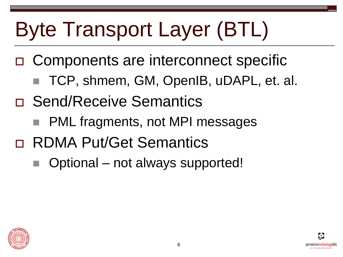# Byte Transport Layer (BTL)

- □ Components are interconnect specific
	- TCP, shmem, GM, OpenIB, uDAPL, et. al.
- n Send/Receive Semantics
	- PML fragments, not MPI messages
- RDMA Put/Get Semantics
	- Optional not always supported!

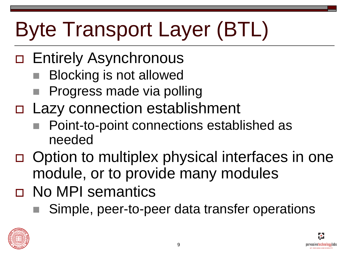# Byte Transport Layer (BTL)

- □ Entirely Asynchronous
	- Blocking is not allowed
	- Progress made via polling
- Lazy connection establishment
	- Point-to-point connections established as needed
- □ Option to multiplex physical interfaces in one module, or to provide many modules
- D No MPI semantics
	- Simple, peer-to-peer data transfer operations



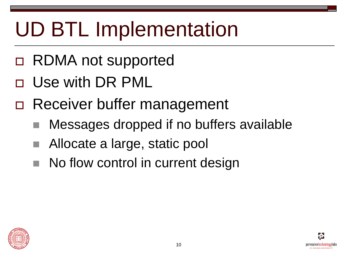## UD BTL Implementation

- RDMA not supported
- Use with DR PML
- □ Receiver buffer management
	- Messages dropped if no buffers available
	- Allocate a large, static pool
	- No flow control in current design

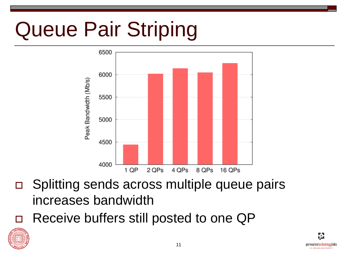# Queue Pair Striping



- □ Splitting sends across multiple queue pairs increases bandwidth
- □ Receive buffers still posted to one QP



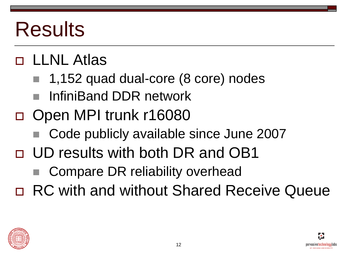### Results

#### LLNL Atlas

- 1,152 quad dual-core (8 core) nodes
- InfiniBand DDR network
- Open MPI trunk r16080
	- Code publicly available since June 2007
- UD results with both DR and OB1
	- Compare DR reliability overhead
- RC with and without Shared Receive Queue

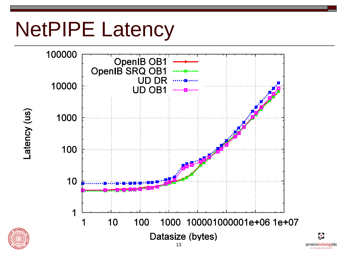#### NetPIPE Latency



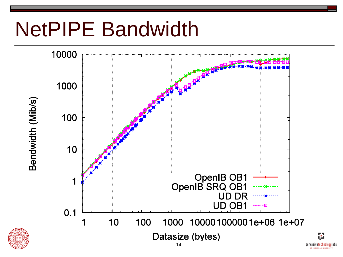# NetPIPE Bandwidth



**AT INDIANA HEIVERS!**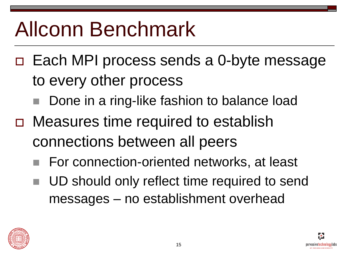### Allconn Benchmark

- Each MPI process sends a 0-byte message to every other process
	- Done in a ring-like fashion to balance load
- □ Measures time required to establish connections between all peers
	- For connection-oriented networks, at least
	- UD should only reflect time required to send messages – no establishment overhead

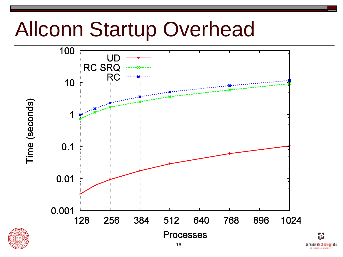#### Allconn Startup Overhead

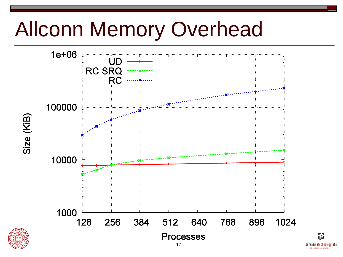### Allconn Memory Overhead



pervasivetechnologylabs **AT INDIANA HRIVERSIT**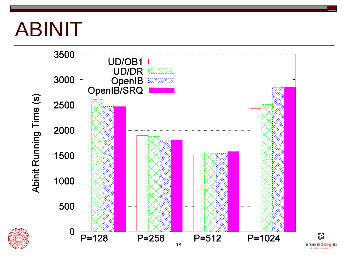#### ABINIT



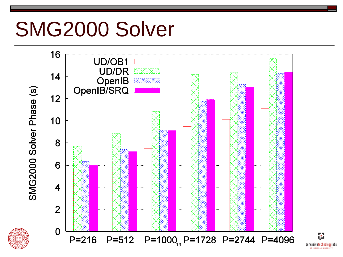#### SMG2000 Solver



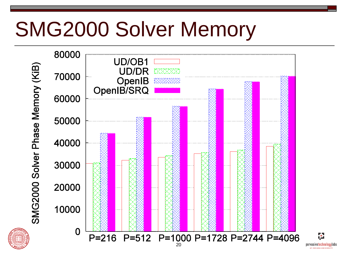### SMG2000 Solver Memory



pervasivetechnologylabs **AT INDIANA HEIVERSI**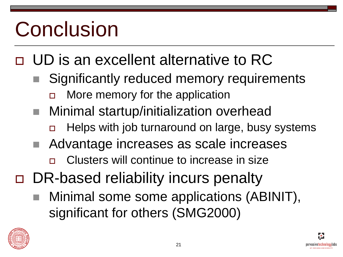# Conclusion

#### UD is an excellent alternative to RC

- Significantly reduced memory requirements More memory for the application
- Minimal startup/initialization overhead
	- Helps with job turnaround on large, busy systems
- Advantage increases as scale increases
	- Clusters will continue to increase in size
- □ DR-based reliability incurs penalty
	- Minimal some some applications (ABINIT), significant for others (SMG2000)



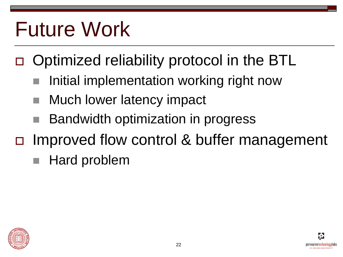### Future Work

- Optimized reliability protocol in the BTL
	- Initial implementation working right now
	- Much lower latency impact
	- Bandwidth optimization in progress
- □ Improved flow control & buffer management
	- Hard problem

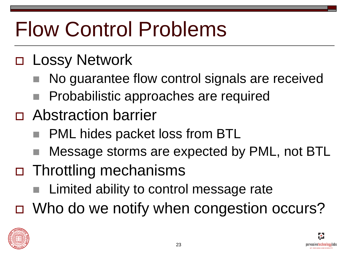# Flow Control Problems

#### □ Lossy Network

- No guarantee flow control signals are received
- **Probabilistic approaches are required**
- Abstraction barrier
	- PML hides packet loss from BTL
	- Message storms are expected by PML, not BTL
- Throttling mechanisms
	- Limited ability to control message rate
- □ Who do we notify when congestion occurs?